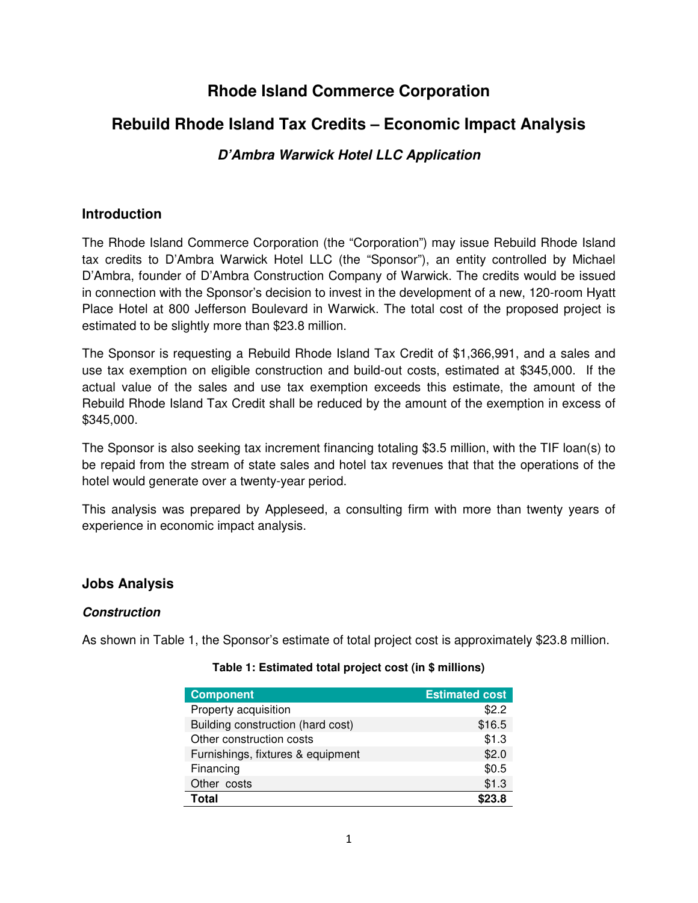## **Rhode Island Commerce Corporation**

# **Rebuild Rhode Island Tax Credits – Economic Impact Analysis**

## **D'Ambra Warwick Hotel LLC Application**

## **Introduction**

The Rhode Island Commerce Corporation (the "Corporation") may issue Rebuild Rhode Island tax credits to D'Ambra Warwick Hotel LLC (the "Sponsor"), an entity controlled by Michael D'Ambra, founder of D'Ambra Construction Company of Warwick. The credits would be issued in connection with the Sponsor's decision to invest in the development of a new, 120-room Hyatt Place Hotel at 800 Jefferson Boulevard in Warwick. The total cost of the proposed project is estimated to be slightly more than \$23.8 million.

The Sponsor is requesting a Rebuild Rhode Island Tax Credit of \$1,366,991, and a sales and use tax exemption on eligible construction and build-out costs, estimated at \$345,000. If the actual value of the sales and use tax exemption exceeds this estimate, the amount of the Rebuild Rhode Island Tax Credit shall be reduced by the amount of the exemption in excess of \$345,000.

The Sponsor is also seeking tax increment financing totaling \$3.5 million, with the TIF loan(s) to be repaid from the stream of state sales and hotel tax revenues that that the operations of the hotel would generate over a twenty-year period.

This analysis was prepared by Appleseed, a consulting firm with more than twenty years of experience in economic impact analysis.

## **Jobs Analysis**

## **Construction**

As shown in Table 1, the Sponsor's estimate of total project cost is approximately \$23.8 million.

| <b>Component</b>                  | <b>Estimated cost</b> |
|-----------------------------------|-----------------------|
| Property acquisition              | \$2.2                 |
| Building construction (hard cost) | \$16.5                |
| Other construction costs          | \$1.3                 |
| Furnishings, fixtures & equipment | \$2.0                 |
| Financing                         | \$0.5                 |
| Other costs                       | \$1.3                 |
| Total                             | \$23.8                |

#### **Table 1: Estimated total project cost (in \$ millions)**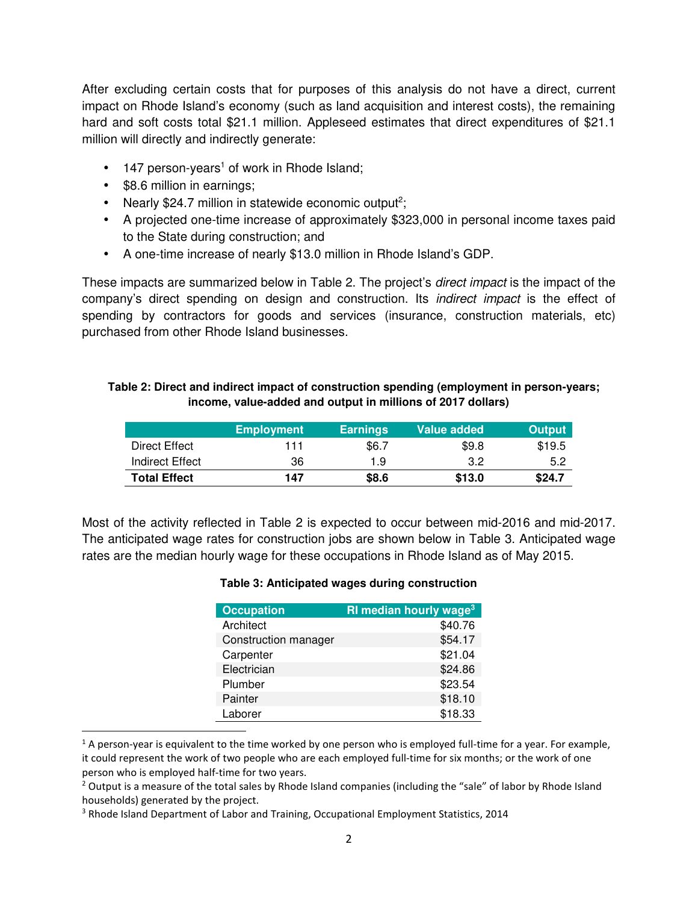After excluding certain costs that for purposes of this analysis do not have a direct, current impact on Rhode Island's economy (such as land acquisition and interest costs), the remaining hard and soft costs total \$21.1 million. Appleseed estimates that direct expenditures of \$21.1 million will directly and indirectly generate:

- $\bullet$  147 person-years<sup>1</sup> of work in Rhode Island;
- \$8.6 million in earnings;

 $\overline{a}$ 

- Nearly \$24.7 million in statewide economic output<sup>2</sup>;
- A projected one-time increase of approximately \$323,000 in personal income taxes paid to the State during construction; and
- A one-time increase of nearly \$13.0 million in Rhode Island's GDP.

These impacts are summarized below in Table 2. The project's *direct impact* is the impact of the company's direct spending on design and construction. Its indirect impact is the effect of spending by contractors for goods and services (insurance, construction materials, etc) purchased from other Rhode Island businesses.

| Table 2: Direct and indirect impact of construction spending (employment in person-years; |
|-------------------------------------------------------------------------------------------|
| income, value-added and output in millions of 2017 dollars)                               |

|                     | <b>Employment</b> | <b>Earnings</b> | <b>Value added</b> | <b>Output</b> |
|---------------------|-------------------|-----------------|--------------------|---------------|
| Direct Effect       | 111               | \$6.7           | \$9.8              | \$19.5        |
| Indirect Effect     | 36                | 1.9             | 3.2                | 5.2           |
| <b>Total Effect</b> | 147               | \$8.6           | \$13.0             | \$24.7        |

Most of the activity reflected in Table 2 is expected to occur between mid-2016 and mid-2017. The anticipated wage rates for construction jobs are shown below in Table 3. Anticipated wage rates are the median hourly wage for these occupations in Rhode Island as of May 2015.

#### **Table 3: Anticipated wages during construction**

| <b>Occupation</b>    | <b>RI median hourly wage<sup>3</sup></b> |
|----------------------|------------------------------------------|
| Architect            | \$40.76                                  |
| Construction manager | \$54.17                                  |
| Carpenter            | \$21.04                                  |
| Electrician          | \$24.86                                  |
| Plumber              | \$23.54                                  |
| Painter              | \$18.10                                  |
| Laborer              | \$18.33                                  |

<sup>&</sup>lt;sup>1</sup> A person-year is equivalent to the time worked by one person who is employed full-time for a year. For example, it could represent the work of two people who are each employed full-time for six months; or the work of one person who is employed half-time for two years.

 $2$  Output is a measure of the total sales by Rhode Island companies (including the "sale" of labor by Rhode Island households) generated by the project.

<sup>&</sup>lt;sup>3</sup> Rhode Island Department of Labor and Training, Occupational Employment Statistics, 2014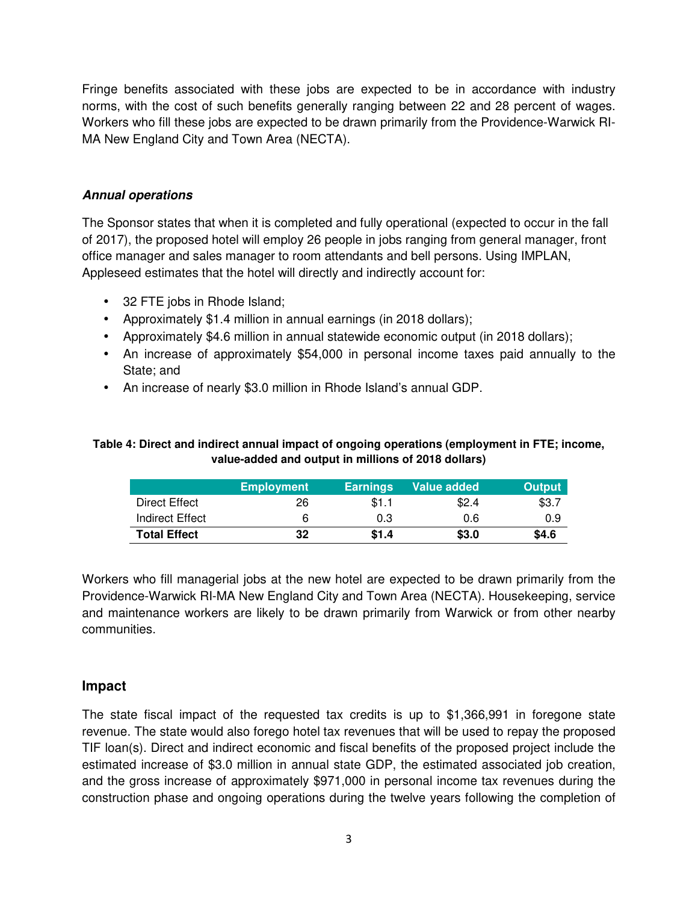Fringe benefits associated with these jobs are expected to be in accordance with industry norms, with the cost of such benefits generally ranging between 22 and 28 percent of wages. Workers who fill these jobs are expected to be drawn primarily from the Providence-Warwick RI-MA New England City and Town Area (NECTA).

### **Annual operations**

The Sponsor states that when it is completed and fully operational (expected to occur in the fall of 2017), the proposed hotel will employ 26 people in jobs ranging from general manager, front office manager and sales manager to room attendants and bell persons. Using IMPLAN, Appleseed estimates that the hotel will directly and indirectly account for:

- 32 FTE jobs in Rhode Island;
- Approximately \$1.4 million in annual earnings (in 2018 dollars);
- Approximately \$4.6 million in annual statewide economic output (in 2018 dollars);
- An increase of approximately \$54,000 in personal income taxes paid annually to the State; and
- An increase of nearly \$3.0 million in Rhode Island's annual GDP.

#### **Table 4: Direct and indirect annual impact of ongoing operations (employment in FTE; income, value-added and output in millions of 2018 dollars)**

|                     | <b>Employment</b> | <b>Earnings</b> | <b>Value added</b> | <b>Output</b> |
|---------------------|-------------------|-----------------|--------------------|---------------|
| Direct Effect       | 26                | \$1.1           | \$2.4              | \$3.7         |
| Indirect Effect     | 6                 | 0.3             | 0.6                | 0.9           |
| <b>Total Effect</b> | 32                | \$1.4           | \$3.0              | \$4.6         |

Workers who fill managerial jobs at the new hotel are expected to be drawn primarily from the Providence-Warwick RI-MA New England City and Town Area (NECTA). Housekeeping, service and maintenance workers are likely to be drawn primarily from Warwick or from other nearby communities.

## **Impact**

The state fiscal impact of the requested tax credits is up to \$1,366,991 in foregone state revenue. The state would also forego hotel tax revenues that will be used to repay the proposed TIF loan(s). Direct and indirect economic and fiscal benefits of the proposed project include the estimated increase of \$3.0 million in annual state GDP, the estimated associated job creation, and the gross increase of approximately \$971,000 in personal income tax revenues during the construction phase and ongoing operations during the twelve years following the completion of